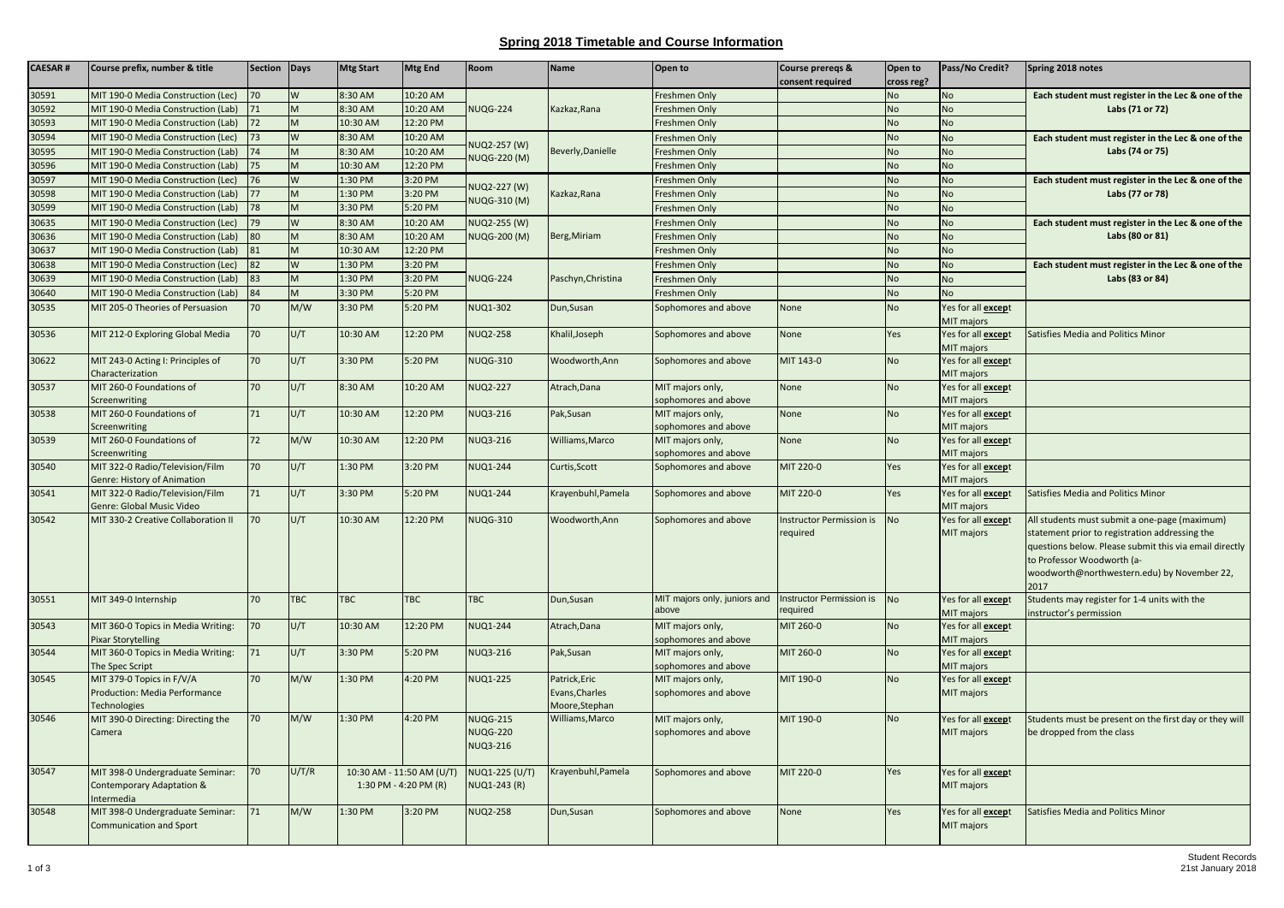## **Spring 2018 Timetable and Course Information**

| <b>CAESAR#</b> | Course prefix, number & title                                               | Section | Days       | <b>Mtg Start</b>                                   | <b>Mtg End</b> | Room                                                  | <b>Name</b>                                       | Open to                                                        | Course preregs &<br>consent required        | Open to<br>cross reg? | Pass/No Credit?                          | Spring 2018 notes                                                                                                                                                                                                                              |
|----------------|-----------------------------------------------------------------------------|---------|------------|----------------------------------------------------|----------------|-------------------------------------------------------|---------------------------------------------------|----------------------------------------------------------------|---------------------------------------------|-----------------------|------------------------------------------|------------------------------------------------------------------------------------------------------------------------------------------------------------------------------------------------------------------------------------------------|
| 30591          | MIT 190-0 Media Construction (Lec)                                          | 70      | W          | 8:30 AM                                            | 10:20 AM       |                                                       |                                                   | Freshmen Only                                                  |                                             | No                    | No                                       | Each student must register in the Lec & one of the                                                                                                                                                                                             |
| 30592          | MIT 190-0 Media Construction (Lab)                                          | 71      | M          | 8:30 AM                                            | 10:20 AM       | <b>NUQG-224</b>                                       | Kazkaz, Rana                                      | reshmen Only                                                   |                                             | No                    | <b>No</b>                                | Labs (71 or 72)                                                                                                                                                                                                                                |
| 30593          | MIT 190-0 Media Construction (Lab)                                          | 72      | M          | 10:30 AM                                           | 12:20 PM       |                                                       |                                                   | Freshmen Only                                                  |                                             | No                    | <b>No</b>                                |                                                                                                                                                                                                                                                |
| 30594          | MIT 190-0 Media Construction (Lec)                                          | 73      | W          | 8:30 AM                                            | 10:20 AM       | NUQ2-257 (W)<br>NUQG-220 (M)                          |                                                   | Freshmen Only                                                  |                                             | No                    | <b>No</b>                                | Each student must register in the Lec & one of the                                                                                                                                                                                             |
| 30595          | MIT 190-0 Media Construction (Lab)                                          | 74      | M          | 8:30 AM                                            | 10:20 AM       |                                                       | Beverly, Danielle                                 | reshmen Only                                                   |                                             | <b>No</b>             | <b>No</b>                                | Labs (74 or 75)                                                                                                                                                                                                                                |
| 30596          | MIT 190-0 Media Construction (Lab)                                          | 75      | M          | 10:30 AM                                           | 12:20 PM       |                                                       |                                                   | reshmen Only                                                   |                                             | <b>No</b>             | <b>No</b>                                |                                                                                                                                                                                                                                                |
| 30597          | MIT 190-0 Media Construction (Lec)                                          | 76      | W          | 1:30 PM                                            | 3:20 PM        |                                                       |                                                   | reshmen Only                                                   |                                             | No                    | <b>No</b>                                | Each student must register in the Lec & one of the                                                                                                                                                                                             |
| 30598          | MIT 190-0 Media Construction (Lab)                                          |         | M          | 1:30 PM                                            | 3:20 PM        | NUQ2-227 (W)<br>NUQG-310 (M)                          | Kazkaz, Rana                                      | reshmen Only                                                   |                                             | No                    | <b>No</b>                                | Labs (77 or 78)                                                                                                                                                                                                                                |
| 30599          | MIT 190-0 Media Construction (Lab)                                          | 78      | M          | 3:30 PM                                            | 5:20 PM        |                                                       |                                                   | Freshmen Only                                                  |                                             | No                    | <b>No</b>                                |                                                                                                                                                                                                                                                |
| 30635          | MIT 190-0 Media Construction (Lec)                                          | 79      | W          | 8:30 AM                                            | 10:20 AM       | NUQ2-255 (W)                                          |                                                   | Freshmen Only                                                  |                                             | No                    | <b>No</b>                                | Each student must register in the Lec & one of the                                                                                                                                                                                             |
| 30636          | MIT 190-0 Media Construction (Lab)                                          | 80      | M          | 8:30 AM                                            | 10:20 AM       | <b>NUQG-200 (M)</b>                                   | Berg, Miriam                                      | reshmen Only                                                   |                                             | <b>No</b>             | <b>No</b>                                | Labs (80 or 81)                                                                                                                                                                                                                                |
| 30637          | MIT 190-0 Media Construction (Lab)                                          | 81      | M          | 10:30 AM                                           | 12:20 PM       |                                                       |                                                   | reshmen Only                                                   |                                             | <b>No</b>             | <b>No</b>                                |                                                                                                                                                                                                                                                |
| 30638          | MIT 190-0 Media Construction (Lec)                                          | 82      | W          | 1:30 PM                                            | 3:20 PM        |                                                       |                                                   | Freshmen Only                                                  |                                             | No                    | <b>No</b>                                | Each student must register in the Lec & one of the                                                                                                                                                                                             |
| 30639          | MIT 190-0 Media Construction (Lab)                                          | 83      | N          | 1:30 PM                                            | 3:20 PM        | <b>NUQG-224</b>                                       | Paschyn, Christina                                | reshmen Only                                                   |                                             | No                    | <b>No</b>                                | Labs (83 or 84)                                                                                                                                                                                                                                |
| 30640          | MIT 190-0 Media Construction (Lab)                                          | 84      | M          | 3:30 PM                                            | 5:20 PM        |                                                       |                                                   | reshmen Only                                                   |                                             | <b>No</b>             | <b>No</b>                                |                                                                                                                                                                                                                                                |
| 30535          | MIT 205-0 Theories of Persuasion                                            | 70      | M/W        | 3:30 PM                                            | 5:20 PM        | NUQ1-302                                              | Dun, Susan                                        | Sophomores and above                                           | None                                        | No                    | Yes for all except<br>MIT majors         |                                                                                                                                                                                                                                                |
| 30536          | MIT 212-0 Exploring Global Media                                            | 70      | U/T        | 10:30 AM                                           | 12:20 PM       | <b>NUQ2-258</b>                                       | Khalil, Joseph                                    | Sophomores and above                                           | None                                        | Yes                   | Yes for all <b>except</b><br>MIT majors  | Satisfies Media and Politics Minor                                                                                                                                                                                                             |
| 30622          | MIT 243-0 Acting I: Principles of<br>Characterization                       | 70      | U/T        | 3:30 PM                                            | 5:20 PM        | <b>NUQG-310</b>                                       | Woodworth, Ann                                    | Sophomores and above                                           | MIT 143-0                                   | No                    | Yes for all except<br>MIT majors         |                                                                                                                                                                                                                                                |
| 30537          | MIT 260-0 Foundations of                                                    | 70      | U/T        | 8:30 AM                                            | 10:20 AM       | <b>NUQ2-227</b>                                       | Atrach, Dana                                      | MIT majors only,                                               | None                                        | <b>No</b>             | Yes for all <b>except</b>                |                                                                                                                                                                                                                                                |
|                | <b>Screenwriting</b>                                                        |         |            |                                                    |                |                                                       |                                                   | ophomores and above                                            |                                             |                       | MIT majors                               |                                                                                                                                                                                                                                                |
| 30538          | MIT 260-0 Foundations of<br><b>Screenwriting</b>                            | 71      | U/T        | 10:30 AM                                           | 12:20 PM       | <b>NUQ3-216</b>                                       | Pak, Susan                                        | MIT majors only,<br>ophomores and above                        | None                                        | No                    | Yes for all <b>except</b><br>MIT majors  |                                                                                                                                                                                                                                                |
| 30539          | MIT 260-0 Foundations of                                                    | 72      | M/W        | 10:30 AM                                           | 12:20 PM       | <b>NUQ3-216</b>                                       | Williams, Marco                                   | MIT majors only,                                               | None                                        | <b>No</b>             | Yes for all except                       |                                                                                                                                                                                                                                                |
|                | Screenwriting                                                               |         |            |                                                    |                |                                                       |                                                   | ophomores and above                                            |                                             |                       | MIT majors                               |                                                                                                                                                                                                                                                |
| 30540          | MIT 322-0 Radio/Television/Film                                             | 70      | U/T        | 1:30 PM                                            | 3:20 PM        | <b>NUQ1-244</b>                                       | Curtis, Scott                                     | Sophomores and above                                           | MIT 220-0                                   | Yes                   | Yes for all <b>except</b>                |                                                                                                                                                                                                                                                |
|                | Genre: History of Animation                                                 |         |            |                                                    |                |                                                       |                                                   |                                                                |                                             |                       | MIT majors                               |                                                                                                                                                                                                                                                |
| 30541          | MIT 322-0 Radio/Television/Film<br>Genre: Global Music Video                | 71      | U/T        | 3:30 PM                                            | 5:20 PM        | <b>NUQ1-244</b>                                       | Krayenbuhl, Pamela                                | Sophomores and above                                           | MIT 220-0                                   | Yes                   | Yes for all <b>except</b><br>MIT majors  | Satisfies Media and Politics Minor                                                                                                                                                                                                             |
| 30542          | MIT 330-2 Creative Collaboration II                                         | 70      | J/T        | 10:30 AM                                           | 12:20 PM       | <b>NUQG-310</b>                                       | Woodworth, Ann                                    | Sophomores and above                                           | <b>Instructor Permission is</b><br>required | No                    | Yes for all <b>except</b><br>MIT majors  | All students must submit a one-page (maximum)<br>statement prior to registration addressing the<br>questions below. Please submit this via email directly<br>to Professor Woodworth (a-<br>woodworth@northwestern.edu) by November 22,<br>2017 |
| 30551          | MIT 349-0 Internship                                                        | 70      | <b>TBC</b> | TBC                                                | <b>TBC</b>     | <b>TBC</b>                                            | Dun, Susan                                        | MIT majors only, juniors and Instructor Permission is<br>above | required                                    | <b>No</b>             | Yes for all <b>except</b><br>MIT majors  | Students may register for 1-4 units with the<br>instructor's permission                                                                                                                                                                        |
| 30543          | MIT 360-0 Topics in Media Writing:<br>Pixar Storytelling                    | 70      | U/T        | 10:30 AM                                           | 12:20 PM       | <b>NUQ1-244</b>                                       | Atrach, Dana                                      | MIT majors only,<br>ophomores and above                        | MIT 260-0                                   | No                    | Yes for all <b>except</b><br>MIT majors  |                                                                                                                                                                                                                                                |
| 30544          | MIT 360-0 Topics in Media Writing:<br>The Spec Script                       | 71      | U/T        | 3:30 PM                                            | 5:20 PM        | <b>NUQ3-216</b>                                       | Pak, Susan                                        | MIT majors only,<br>ophomores and above                        | MIT 260-0                                   | No                    | Yes for all except<br>MIT majors         |                                                                                                                                                                                                                                                |
| 30545          | MIT 379-0 Topics in F/V/A<br>Production: Media Performance<br>Technologies  | 70      | M/W        | 1:30 PM                                            | 4:20 PM        | <b>NUQ1-225</b>                                       | Patrick, Eric<br>Evans, Charles<br>Moore, Stephan | MIT majors only,<br>sophomores and above                       | MIT 190-0                                   | No                    | Yes for all <b>except</b><br>MIT majors  |                                                                                                                                                                                                                                                |
| 30546          | MIT 390-0 Directing: Directing the<br>Camera                                | 70      | M/W        | 1:30 PM                                            | 4:20 PM        | <b>NUQG-215</b><br><b>NUQG-220</b><br><b>NUQ3-216</b> | Williams, Marco                                   | MIT majors only,<br>sophomores and above                       | MIT 190-0                                   | No                    | Yes for all <b>except</b><br>MIT majors  | Students must be present on the first day or they will<br>be dropped from the class                                                                                                                                                            |
| 30547          | MIT 398-0 Undergraduate Seminar:<br>Contemporary Adaptation &<br>Intermedia | 70      | J/T/R      | 10:30 AM - 11:50 AM (U/T)<br>1:30 PM - 4:20 PM (R) |                | NUQ1-225 (U/T)<br>NUQ1-243 (R)                        | Krayenbuhl, Pamela                                | Sophomores and above                                           | MIT 220-0                                   | Yes                   | Yes for all <b>except</b><br>MIT majors  |                                                                                                                                                                                                                                                |
| 30548          | MIT 398-0 Undergraduate Seminar:<br><b>Communication and Sport</b>          | 71      | M/W        | 1:30 PM                                            | 3:20 PM        | <b>NUQ2-258</b>                                       | Dun, Susan                                        | Sophomores and above                                           | None                                        | Yes                   | Yes for all <b>excep</b> t<br>MIT majors | Satisfies Media and Politics Minor                                                                                                                                                                                                             |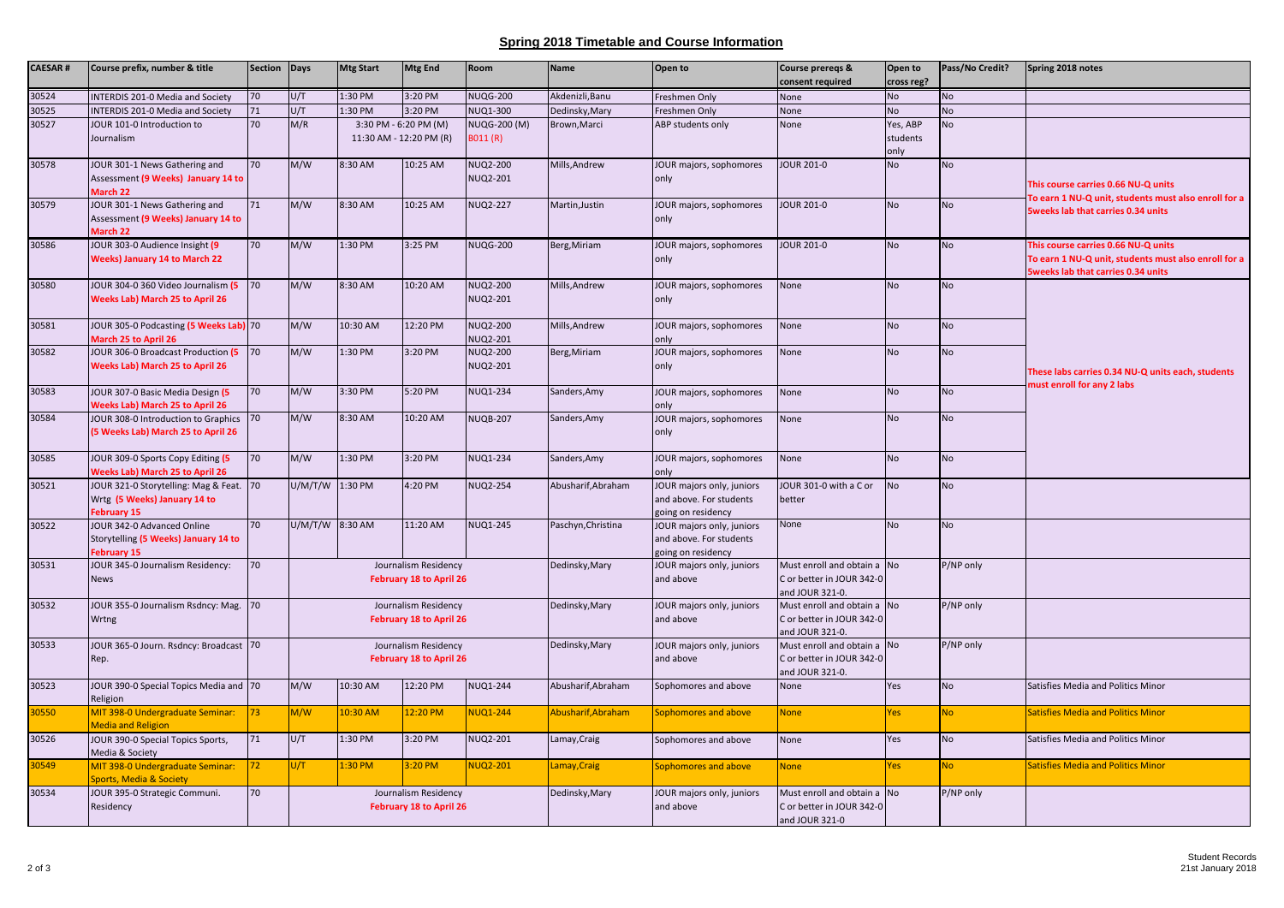## **Spring 2018 Timetable and Course Information**

| <b>CAESAR#</b> | Course prefix, number & title                                                              | Section Days    |                 | <b>Mtg Start</b>                                 | <b>Mtg End</b>                                         | Room                        | <b>Name</b>        | Open to                                                                    | Course preregs &<br>consent required                                        | Open to<br>cross reg?        | Pass/No Credit? | Spring 2018 notes                                                                                                                        |
|----------------|--------------------------------------------------------------------------------------------|-----------------|-----------------|--------------------------------------------------|--------------------------------------------------------|-----------------------------|--------------------|----------------------------------------------------------------------------|-----------------------------------------------------------------------------|------------------------------|-----------------|------------------------------------------------------------------------------------------------------------------------------------------|
| 30524          | <b>INTERDIS 201-0 Media and Society</b>                                                    | 70              | U/T             | 1:30 PM                                          | 3:20 PM                                                | <b>NUQG-200</b>             | Akdenizli.Banu     | Freshmen Only                                                              | None                                                                        | <b>No</b>                    | <b>No</b>       |                                                                                                                                          |
| 30525          | <b>INTERDIS 201-0 Media and Society</b>                                                    | 71              | U/T             | 1:30 PM                                          | 3:20 PM                                                | NUQ1-300                    | Dedinsky, Mary     | Freshmen Only                                                              | None                                                                        | No                           | <b>No</b>       |                                                                                                                                          |
| 30527          | JOUR 101-0 Introduction to<br>Journalism                                                   | 70              | M/R             | 3:30 PM - 6:20 PM (M)<br>11:30 AM - 12:20 PM (R) |                                                        | NUQG-200 (M)<br>B011 (R)    | Brown, Marci       | ABP students only                                                          | None                                                                        | Yes, ABP<br>students<br>only | <b>No</b>       |                                                                                                                                          |
| 30578          | JOUR 301-1 News Gathering and<br>Assessment (9 Weeks) January 14 to<br>March 22            | 70              | M/W             | 8:30 AM                                          | 10:25 AM                                               | <b>NUQ2-200</b><br>NUQ2-201 | Mills, Andrew      | JOUR majors, sophomores<br>only                                            | <b>JOUR 201-0</b>                                                           | No                           | <b>No</b>       | This course carries 0.66 NU-Q units<br>To earn 1 NU-Q unit, students must also enroll for a                                              |
| 30579          | JOUR 301-1 News Gathering and<br>Assessment (9 Weeks) January 14 to<br>March 22            | 71              | M/W             | 8:30 AM                                          | 10:25 AM                                               | <b>NUQ2-227</b>             | Martin, Justin     | JOUR majors, sophomores<br>only                                            | JOUR 201-0                                                                  | <b>No</b>                    | <b>No</b>       | <b>5weeks lab that carries 0.34 units</b>                                                                                                |
| 30586          | JOUR 303-0 Audience Insight (9<br><b>Weeks) January 14 to March 22</b>                     | 70              | M/W             | 1:30 PM                                          | 3:25 PM                                                | <b>NUQG-200</b>             | Berg, Miriam       | JOUR majors, sophomores<br>only                                            | JOUR 201-0                                                                  | <b>No</b>                    | <b>No</b>       | This course carries 0.66 NU-Q units<br>To earn 1 NU-Q unit, students must also enroll for a<br><b>5weeks lab that carries 0.34 units</b> |
| 30580          | JOUR 304-0 360 Video Journalism (5<br><b>Weeks Lab) March 25 to April 26</b>               | 70              | M/W             | 8:30 AM                                          | 10:20 AM                                               | NUQ2-200<br>NUQ2-201        | Mills, Andrew      | JOUR majors, sophomores<br>only                                            | None                                                                        | <b>No</b>                    | <b>No</b>       |                                                                                                                                          |
| 30581          | JOUR 305-0 Podcasting (5 Weeks Lab) 70<br>March 25 to April 26                             |                 | M/W             | 10:30 AM                                         | 12:20 PM                                               | NUQ2-200<br>NUQ2-201        | Mills, Andrew      | JOUR majors, sophomores<br>only                                            | None                                                                        | No                           | <b>No</b>       | These labs carries 0.34 NU-Q units each, students<br>must enroll for any 2 labs                                                          |
| 30582          | JOUR 306-0 Broadcast Production (5<br><b>Weeks Lab) March 25 to April 26</b>               | 70              | M/W             | 1:30 PM                                          | 3:20 PM                                                | <b>NUQ2-200</b><br>NUQ2-201 | Berg, Miriam       | JOUR majors, sophomores<br>only                                            | None                                                                        | <b>No</b>                    | <b>No</b>       |                                                                                                                                          |
| 30583          | JOUR 307-0 Basic Media Design (5<br><b>Weeks Lab) March 25 to April 26</b>                 | 70              | M/W             | 3:30 PM                                          | 5:20 PM                                                | <b>NUQ1-234</b>             | Sanders, Amy       | JOUR majors, sophomores<br>only                                            | None                                                                        | <b>No</b>                    | <b>No</b>       |                                                                                                                                          |
| 30584          | JOUR 308-0 Introduction to Graphics<br>(5 Weeks Lab) March 25 to April 26                  | 70              | M/W             | 8:30 AM                                          | 10:20 AM                                               | <b>NUQB-207</b>             | Sanders, Amy       | JOUR majors, sophomores<br>only                                            | None                                                                        | <b>No</b>                    | <b>No</b>       |                                                                                                                                          |
| 30585          | JOUR 309-0 Sports Copy Editing (5<br><b>Weeks Lab) March 25 to April 26</b>                | 70              | M/W             | 1:30 PM                                          | 3:20 PM                                                | NUQ1-234                    | Sanders, Amy       | JOUR majors, sophomores<br>ylnc                                            | None                                                                        | <b>No</b>                    | <b>No</b>       |                                                                                                                                          |
| 30521          | JOUR 321-0 Storytelling: Mag & Feat.<br>Wrtg (5 Weeks) January 14 to<br><b>February 15</b> | 70              | U/M/T/W 1:30 PM |                                                  | 4:20 PM                                                | <b>NUQ2-254</b>             | Abusharif, Abraham | JOUR majors only, juniors<br>and above. For students<br>going on residency | JOUR 301-0 with a C or<br>better                                            | No                           | <b>No</b>       |                                                                                                                                          |
| 30522          | JOUR 342-0 Advanced Online<br>Storytelling (5 Weeks) January 14 to<br>February 15          | 70              | U/M/T/W 8:30 AM |                                                  | 11:20 AM                                               | <b>NUQ1-245</b>             | Paschyn, Christina | JOUR majors only, juniors<br>and above. For students<br>toing on residency | None                                                                        | <b>No</b>                    | <b>No</b>       |                                                                                                                                          |
| 30531          | JOUR 345-0 Journalism Residency:<br><b>News</b>                                            | 70              |                 |                                                  | Journalism Residency<br><b>February 18 to April 26</b> |                             | Dedinsky, Mary     | JOUR majors only, juniors<br>and above                                     | Must enroll and obtain a No<br>C or better in JOUR 342-0<br>and JOUR 321-0. |                              | P/NP only       |                                                                                                                                          |
| 30532          | JOUR 355-0 Journalism Rsdncy: Mag.<br>Wrtng                                                | 170             |                 |                                                  | Journalism Residency<br>February 18 to April 26        |                             | Dedinsky, Mary     | JOUR majors only, juniors<br>and above                                     | Must enroll and obtain a No<br>C or better in JOUR 342-0<br>and JOUR 321-0. |                              | P/NP only       |                                                                                                                                          |
| 30533          | OUR 365-0 Journ. Rsdncy: Broadcast 70<br>Rep.                                              |                 |                 |                                                  | Journalism Residency<br><b>February 18 to April 26</b> |                             | Dedinsky, Mary     | JOUR majors only, juniors<br>and above                                     | Must enroll and obtain a<br>C or better in JOUR 342-0<br>and JOUR 321-0.    | <b>No</b>                    | P/NP only       |                                                                                                                                          |
| 30523          | JOUR 390-0 Special Topics Media and 70<br>Religion                                         |                 | M/W             | 10:30 AM                                         | 12:20 PM                                               | NUQ1-244                    | Abusharif, Abraham | Sophomores and above                                                       | None                                                                        | Yes                          | <b>No</b>       | Satisfies Media and Politics Minor                                                                                                       |
| 30550          | MIT 398-0 Undergraduate Seminar:<br><b>Media and Religion</b>                              | 73 <sup>°</sup> | M/W             | 10:30 AM                                         | 12:20 PM                                               | <b>NUQ1-244</b>             | Abusharif, Abraham | Sophomores and above                                                       | <b>None</b>                                                                 | Yes                          | <b>No</b>       | Satisfies Media and Politics Minor                                                                                                       |
| 30526          | JOUR 390-0 Special Topics Sports,<br>Media & Society                                       | 71              | U/T             | 1:30 PM                                          | 3:20 PM                                                | NUQ2-201                    | Lamay, Craig       | Sophomores and above                                                       | None                                                                        | Yes                          | <b>No</b>       | Satisfies Media and Politics Minor                                                                                                       |
| 30549          | MIT 398-0 Undergraduate Seminar:<br>Sports, Media & Society                                | 72 <sub>2</sub> | U/T             | 1:30 PM                                          | 3:20 PM                                                | <b>NUQ2-201</b>             | Lamay, Craig       | ophomores and above                                                        | <b>None</b>                                                                 | Yes                          | <b>No</b>       | Satisfies Media and Politics Minor                                                                                                       |
| 30534          | JOUR 395-0 Strategic Communi.<br>Residency                                                 | 70              |                 |                                                  | Journalism Residency<br>February 18 to April 26        |                             | Dedinsky, Mary     | JOUR majors only, juniors<br>and above                                     | Must enroll and obtain a<br>C or better in JOUR 342-0<br>and JOUR 321-0     | <b>No</b>                    | P/NP only       |                                                                                                                                          |